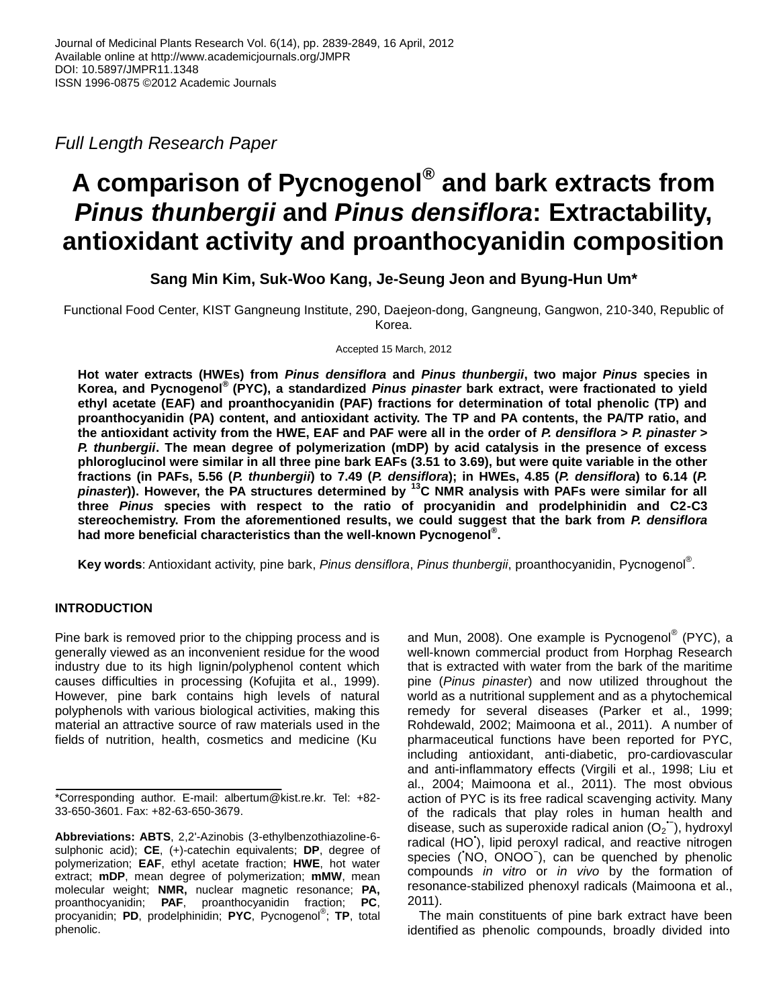*Full Length Research Paper*

# **A comparison of Pycnogenol® and bark extracts from**  *Pinus thunbergii* **and** *Pinus densiflora***: Extractability, antioxidant activity and proanthocyanidin composition**

**Sang Min Kim, Suk-Woo Kang, Je-Seung Jeon and Byung-Hun Um\***

Functional Food Center, KIST Gangneung Institute, 290, Daejeon-dong, Gangneung, Gangwon, 210-340, Republic of Korea.

Accepted 15 March, 2012

**Hot water extracts (HWEs) from** *Pinus densiflora* **and** *Pinus thunbergii***, two major** *Pinus* **species in Korea, and Pycnogenol® (PYC), a standardized** *Pinus pinaster* **bark extract, were fractionated to yield ethyl acetate (EAF) and proanthocyanidin (PAF) fractions for determination of total phenolic (TP) and proanthocyanidin (PA) content, and antioxidant activity. The TP and PA contents, the PA/TP ratio, and the antioxidant activity from the HWE, EAF and PAF were all in the order of** *P. densiflora* **>** *P. pinaster* **>**  *P. thunbergii***. The mean degree of polymerization (mDP) by acid catalysis in the presence of excess phloroglucinol were similar in all three pine bark EAFs (3.51 to 3.69), but were quite variable in the other fractions (in PAFs, 5.56 (***P. thunbergii***) to 7.49 (***P. densiflora***); in HWEs, 4.85 (***P. densiflora***) to 6.14 (***P. pinaster***)). However, the PA structures determined by <sup>13</sup>C NMR analysis with PAFs were similar for all three** *Pinus* **species with respect to the ratio of procyanidin and prodelphinidin and C2-C3 stereochemistry. From the aforementioned results, we could suggest that the bark from** *P. densiflora* **had more beneficial characteristics than the well-known Pycnogenol® .**

**Key words**: Antioxidant activity, pine bark, *Pinus densiflora*, *Pinus thunbergii*, proanthocyanidin, Pycnogenol® .

# **INTRODUCTION**

Pine bark is removed prior to the chipping process and is generally viewed as an inconvenient residue for the wood industry due to its high lignin/polyphenol content which causes difficulties in processing (Kofujita et al., 1999). However, pine bark contains high levels of natural polyphenols with various biological activities, making this material an attractive source of raw materials used in the fields of nutrition, health, cosmetics and medicine (Ku

**Abbreviations: ABTS**, 2,2'-Azinobis (3-ethylbenzothiazoline-6 sulphonic acid); **CE**, (+)-catechin equivalents; **DP**, degree of polymerization; **EAF**, ethyl acetate fraction; **HWE**, hot water extract; **mDP**, mean degree of polymerization; **mMW**, mean molecular weight; **NMR,** nuclear magnetic resonance; **PA,** proanthocyanidin; **PAF**, proanthocyanidin fraction; **PC**, procyanidin; **PD**, prodelphinidin; **PYC**, Pycnogenol® ; **TP**, total phenolic.

and Mun, 2008). One example is Pycnogenol® (PYC), a well-known commercial product from Horphag Research that is extracted with water from the bark of the maritime pine (*Pinus pinaster*) and now utilized throughout the world as a nutritional supplement and as a phytochemical remedy for several diseases (Parker et al., 1999; Rohdewald, 2002; Maimoona et al., 2011). A number of pharmaceutical functions have been reported for PYC, including antioxidant, anti-diabetic, pro-cardiovascular and anti-inflammatory effects (Virgili et al., 1998; Liu et al., 2004; Maimoona et al., 2011). The most obvious action of PYC is its free radical scavenging activity. Many of the radicals that play roles in human health and disease, such as superoxide radical anion  $(O_2^-)$ , hydroxyl radical (HO'), lipid peroxyl radical, and reactive nitrogen species (NO, ONOO ), can be quenched by phenolic compounds *in vitro* or *in vivo* by the formation of resonance-stabilized phenoxyl radicals (Maimoona et al., 2011).

The main constituents of pine bark extract have been identified as phenolic compounds, broadly divided into

<sup>\*</sup>Corresponding author. E-mail: albertum@kist.re.kr. Tel: +82- 33-650-3601. Fax: +82-63-650-3679.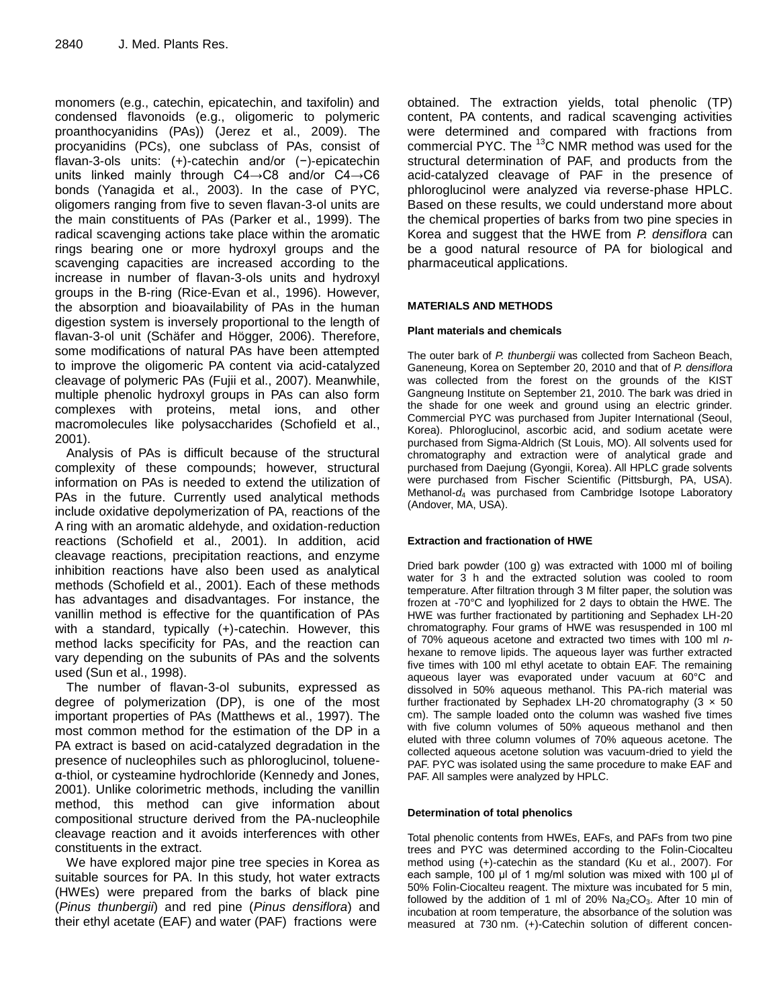monomers (e.g., catechin, epicatechin, and taxifolin) and condensed flavonoids (e.g., oligomeric to polymeric proanthocyanidins (PAs)) (Jerez et al., 2009). The procyanidins (PCs), one subclass of PAs, consist of flavan-3-ols units: (+)-catechin and/or (−)-epicatechin units linked mainly through C4→C8 and/or C4→C6 bonds (Yanagida et al., 2003). In the case of PYC, oligomers ranging from five to seven flavan-3-ol units are the main constituents of PAs (Parker et al., 1999). The radical scavenging actions take place within the aromatic rings bearing one or more hydroxyl groups and the scavenging capacities are increased according to the increase in number of flavan-3-ols units and hydroxyl groups in the B-ring (Rice-Evan et al., 1996). However, the absorption and bioavailability of PAs in the human digestion system is inversely proportional to the length of flavan-3-ol unit (Schäfer and Högger, 2006). Therefore, some modifications of natural PAs have been attempted to improve the oligomeric PA content via acid-catalyzed cleavage of polymeric PAs (Fujii et al., 2007). Meanwhile, multiple phenolic hydroxyl groups in PAs can also form complexes with proteins, metal ions, and other macromolecules like polysaccharides (Schofield et al., 2001).

Analysis of PAs is difficult because of the structural complexity of these compounds; however, structural information on PAs is needed to extend the utilization of PAs in the future. Currently used analytical methods include oxidative depolymerization of PA, reactions of the A ring with an aromatic aldehyde, and oxidation-reduction reactions (Schofield et al., 2001). In addition, acid cleavage reactions, precipitation reactions, and enzyme inhibition reactions have also been used as analytical methods (Schofield et al., 2001). Each of these methods has advantages and disadvantages. For instance, the vanillin method is effective for the quantification of PAs with a standard, typically (+)-catechin. However, this method lacks specificity for PAs, and the reaction can vary depending on the subunits of PAs and the solvents used (Sun et al., 1998).

The number of flavan-3-ol subunits, expressed as degree of polymerization (DP), is one of the most important properties of PAs (Matthews et al., 1997). The most common method for the estimation of the DP in a PA extract is based on acid-catalyzed degradation in the presence of nucleophiles such as phloroglucinol, tolueneα-thiol, or cysteamine hydrochloride (Kennedy and Jones, 2001). Unlike colorimetric methods, including the vanillin method, this method can give information about compositional structure derived from the PA-nucleophile cleavage reaction and it avoids interferences with other constituents in the extract.

We have explored major pine tree species in Korea as suitable sources for PA. In this study, hot water extracts (HWEs) were prepared from the barks of black pine (*Pinus thunbergii*) and red pine (*Pinus densiflora*) and their ethyl acetate (EAF) and water (PAF) fractions were

obtained. The extraction yields, total phenolic (TP) content, PA contents, and radical scavenging activities were determined and compared with fractions from commercial PYC. The  $^{13}$ C NMR method was used for the structural determination of PAF, and products from the acid-catalyzed cleavage of PAF in the presence of phloroglucinol were analyzed via reverse-phase HPLC. Based on these results, we could understand more about the chemical properties of barks from two pine species in Korea and suggest that the HWE from *P. densiflora* can be a good natural resource of PA for biological and pharmaceutical applications.

## **MATERIALS AND METHODS**

## **Plant materials and chemicals**

The outer bark of *P. thunbergii* was collected from Sacheon Beach, Ganeneung, Korea on September 20, 2010 and that of *P. densiflora*  was collected from the forest on the grounds of the KIST Gangneung Institute on September 21, 2010. The bark was dried in the shade for one week and ground using an electric grinder. Commercial PYC was purchased from Jupiter International (Seoul, Korea). Phloroglucinol, ascorbic acid, and sodium acetate were purchased from Sigma-Aldrich (St Louis, MO). All solvents used for chromatography and extraction were of analytical grade and purchased from Daejung (Gyongii, Korea). All HPLC grade solvents were purchased from Fischer Scientific (Pittsburgh, PA, USA). Methanol-*d*<sup>4</sup> was purchased from Cambridge Isotope Laboratory (Andover, MA, USA).

## **Extraction and fractionation of HWE**

Dried bark powder (100 g) was extracted with 1000 ml of boiling water for 3 h and the extracted solution was cooled to room temperature. After filtration through 3 M filter paper, the solution was frozen at -70°C and lyophilized for 2 days to obtain the HWE. The HWE was further fractionated by partitioning and Sephadex LH-20 chromatography. Four grams of HWE was resuspended in 100 ml of 70% aqueous acetone and extracted two times with 100 ml *n*hexane to remove lipids. The aqueous layer was further extracted five times with 100 ml ethyl acetate to obtain EAF. The remaining aqueous layer was evaporated under vacuum at 60°C and dissolved in 50% aqueous methanol. This PA-rich material was further fractionated by Sephadex LH-20 chromatography  $(3 \times 50)$ cm). The sample loaded onto the column was washed five times with five column volumes of 50% aqueous methanol and then eluted with three column volumes of 70% aqueous acetone. The collected aqueous acetone solution was vacuum-dried to yield the PAF. PYC was isolated using the same procedure to make EAF and PAF. All samples were analyzed by HPLC.

## **Determination of total phenolics**

Total phenolic contents from HWEs, EAFs, and PAFs from two pine trees and PYC was determined according to the Folin-Ciocalteu method using (+)-catechin as the standard (Ku et al., 2007). For each sample, 100 μl of 1 mg/ml solution was mixed with 100 μl of 50% Folin-Ciocalteu reagent. The mixture was incubated for 5 min, followed by the addition of 1 ml of 20%  $Na<sub>2</sub>CO<sub>3</sub>$ . After 10 min of incubation at room temperature, the absorbance of the solution was measured at 730 nm. (+)-Catechin solution of different concen-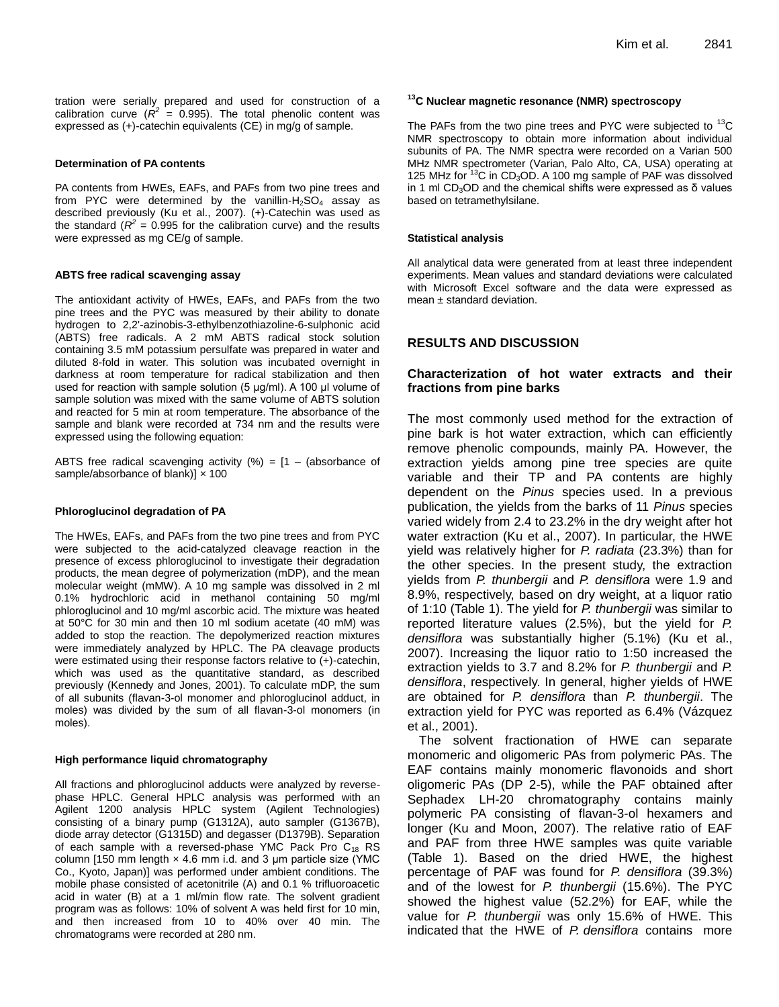tration were serially prepared and used for construction of a calibration curve  $(R^2 = 0.995)$ . The total phenolic content was expressed as (+)-catechin equivalents (CE) in mg/g of sample.

#### **Determination of PA contents**

PA contents from HWEs, EAFs, and PAFs from two pine trees and from PYC were determined by the vanillin- $H<sub>2</sub>SO<sub>4</sub>$  assay as described previously (Ku et al., 2007). (+)-Catechin was used as the standard ( $R^2$  = 0.995 for the calibration curve) and the results were expressed as mg CE/g of sample.

#### **ABTS free radical scavenging assay**

The antioxidant activity of HWEs, EAFs, and PAFs from the two pine trees and the PYC was measured by their ability to donate hydrogen to 2,2'-azinobis-3-ethylbenzothiazoline-6-sulphonic acid (ABTS) free radicals. A 2 mM ABTS radical stock solution containing 3.5 mM potassium persulfate was prepared in water and diluted 8-fold in water. This solution was incubated overnight in darkness at room temperature for radical stabilization and then used for reaction with sample solution (5 μg/ml). A 100 µl volume of sample solution was mixed with the same volume of ABTS solution and reacted for 5 min at room temperature. The absorbance of the sample and blank were recorded at 734 nm and the results were expressed using the following equation:

ABTS free radical scavenging activity  $(%) = [1 - (absorbance of$ sample/absorbance of blank)]  $\times$  100

#### **Phloroglucinol degradation of PA**

The HWEs, EAFs, and PAFs from the two pine trees and from PYC were subjected to the acid-catalyzed cleavage reaction in the presence of excess phloroglucinol to investigate their degradation products, the mean degree of polymerization (mDP), and the mean molecular weight (mMW). A 10 mg sample was dissolved in 2 ml 0.1% hydrochloric acid in methanol containing 50 mg/ml phloroglucinol and 10 mg/ml ascorbic acid. The mixture was heated at 50°C for 30 min and then 10 ml sodium acetate (40 mM) was added to stop the reaction. The depolymerized reaction mixtures were immediately analyzed by HPLC. The PA cleavage products were estimated using their response factors relative to (+)-catechin, which was used as the quantitative standard, as described previously (Kennedy and Jones, 2001). To calculate mDP, the sum of all subunits (flavan-3-ol monomer and phloroglucinol adduct, in moles) was divided by the sum of all flavan-3-ol monomers (in moles).

#### **High performance liquid chromatography**

All fractions and phloroglucinol adducts were analyzed by reversephase HPLC. General HPLC analysis was performed with an Agilent 1200 analysis HPLC system (Agilent Technologies) consisting of a binary pump (G1312A), auto sampler (G1367B), diode array detector (G1315D) and degasser (D1379B). Separation of each sample with a reversed-phase YMC Pack Pro  $C_{18}$  RS column [150 mm length  $\times$  4.6 mm i.d. and 3 µm particle size (YMC Co., Kyoto, Japan)] was performed under ambient conditions. The mobile phase consisted of acetonitrile (A) and 0.1 % trifluoroacetic acid in water (B) at a 1 ml/min flow rate. The solvent gradient program was as follows: 10% of solvent A was held first for 10 min, and then increased from 10 to 40% over 40 min. The chromatograms were recorded at 280 nm.

#### **<sup>13</sup>C Nuclear magnetic resonance (NMR) spectroscopy**

The PAFs from the two pine trees and PYC were subjected to  $13^{\circ}$ C NMR spectroscopy to obtain more information about individual subunits of PA. The NMR spectra were recorded on a Varian 500 MHz NMR spectrometer (Varian, Palo Alto, CA, USA) operating at 125 MHz for  $13^{\circ}$ C in CD<sub>3</sub>OD. A 100 mg sample of PAF was dissolved in 1 ml CD<sub>3</sub>OD and the chemical shifts were expressed as δ values based on tetramethylsilane.

#### **Statistical analysis**

All analytical data were generated from at least three independent experiments. Mean values and standard deviations were calculated with Microsoft Excel software and the data were expressed as mean  $\pm$  standard deviation.

# **RESULTS AND DISCUSSION**

## **Characterization of hot water extracts and their fractions from pine barks**

The most commonly used method for the extraction of pine bark is hot water extraction, which can efficiently remove phenolic compounds, mainly PA. However, the extraction yields among pine tree species are quite variable and their TP and PA contents are highly dependent on the *Pinus* species used. In a previous publication, the yields from the barks of 11 *Pinus* species varied widely from 2.4 to 23.2% in the dry weight after hot water extraction (Ku et al., 2007). In particular, the HWE yield was relatively higher for *P. radiata* (23.3%) than for the other species. In the present study, the extraction yields from *P. thunbergii* and *P. densiflora* were 1.9 and 8.9%, respectively, based on dry weight, at a liquor ratio of 1:10 (Table 1). The yield for *P. thunbergii* was similar to reported literature values (2.5%), but the yield for *P. densiflora* was substantially higher (5.1%) (Ku et al., 2007). Increasing the liquor ratio to 1:50 increased the extraction yields to 3.7 and 8.2% for *P. thunbergii* and *P. densiflora*, respectively. In general, higher yields of HWE are obtained for *P. densiflora* than *P. thunbergii*. The extraction yield for PYC was reported as 6.4% (Vázquez et al., 2001).

The solvent fractionation of HWE can separate monomeric and oligomeric PAs from polymeric PAs. The EAF contains mainly monomeric flavonoids and short oligomeric PAs (DP 2-5), while the PAF obtained after Sephadex LH-20 chromatography contains mainly polymeric PA consisting of flavan-3-ol hexamers and longer (Ku and Moon, 2007). The relative ratio of EAF and PAF from three HWE samples was quite variable (Table 1). Based on the dried HWE, the highest percentage of PAF was found for *P. densiflora* (39.3%) and of the lowest for *P. thunbergii* (15.6%). The PYC showed the highest value (52.2%) for EAF, while the value for *P. thunbergii* was only 15.6% of HWE. This indicated that the HWE of *P. densiflora* contains more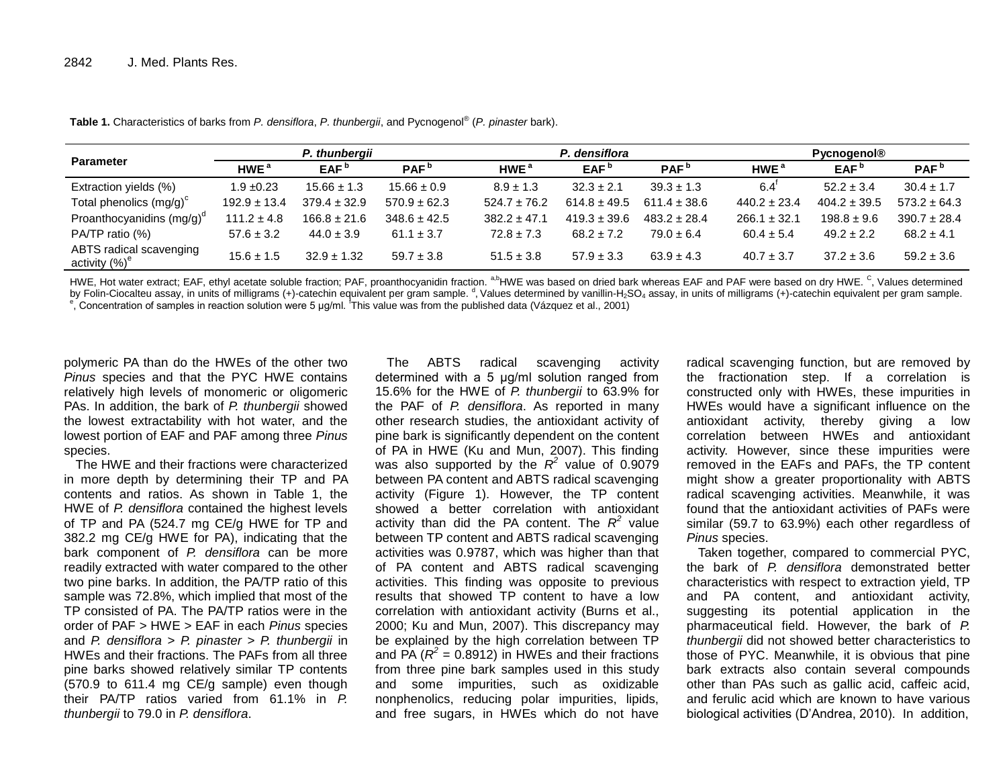|                                                      | P. thunbergii    |                  |                  |                  | P. densiflora    |                  | <b>Pycnogenol®</b> |                  |                  |  |
|------------------------------------------------------|------------------|------------------|------------------|------------------|------------------|------------------|--------------------|------------------|------------------|--|
| <b>Parameter</b>                                     | HWE <sup>a</sup> | EAF <sup>b</sup> | PAF <sup>b</sup> | HWE <sup>a</sup> | EAF <sup>b</sup> | PAF <sup>b</sup> | HWE <sup>a</sup>   | EAF <sup>b</sup> | PAF <sup>b</sup> |  |
| Extraction yields (%)                                | $1.9 \pm 0.23$   | $15.66 \pm 1.3$  | $15.66 \pm 0.9$  | $8.9 \pm 1.3$    | $32.3 \pm 2.1$   | $39.3 \pm 1.3$   | 6.4                | $52.2 \pm 3.4$   | $30.4 \pm 1.7$   |  |
| Total phenolics $(mg/g)^c$                           | $192.9 \pm 13.4$ | $379.4 \pm 32.9$ | $570.9 \pm 62.3$ | $524.7 \pm 76.2$ | $614.8 \pm 49.5$ | $611.4 \pm 38.6$ | $440.2 \pm 23.4$   | $404.2 \pm 39.5$ | $573.2 \pm 64.3$ |  |
| Proanthocyanidins $(mg/g)^d$                         | $111.2 \pm 4.8$  | $166.8 \pm 21.6$ | $348.6 \pm 42.5$ | $382.2 \pm 47.1$ | $419.3 \pm 39.6$ | $483.2 \pm 28.4$ | $266.1 \pm 32.1$   | $198.8 \pm 9.6$  | $390.7 \pm 28.4$ |  |
| PA/TP ratio (%)                                      | $57.6 \pm 3.2$   | $44.0 \pm 3.9$   | $61.1 \pm 3.7$   | $72.8 \pm 7.3$   | $68.2 \pm 7.2$   | $79.0 \pm 6.4$   | $60.4 \pm 5.4$     | $49.2 \pm 2.2$   | $68.2 \pm 4.1$   |  |
| ABTS radical scavenging<br>activity (%) <sup>e</sup> | $15.6 \pm 1.5$   | $32.9 \pm 1.32$  | $59.7 \pm 3.8$   | $51.5 \pm 3.8$   | $57.9 \pm 3.3$   | $63.9 \pm 4.3$   | $40.7 \pm 3.7$     | $37.2 \pm 3.6$   | $59.2 \pm 3.6$   |  |

**Table 1.** Characteristics of barks from *P. densiflora*, *P. thunbergii*, and Pycnogenol® (*P. pinaster* bark).

HWE, Hot water extract; EAF, ethyl acetate soluble fraction; PAF, proanthocyanidin fraction. <sup>a,b</sup>HWE was based on dried bark whereas EAF and PAF were based on dry HWE. <sup>C</sup>, Values determined by Folin-Ciocalteu assay, in units of milligrams (+)-catechin equivalent per gram sample.<sup>d</sup>, Values determined by vanillin-H<sub>2</sub>SO<sub>4</sub> assay, in units of milligrams (+)-catechin equivalent per gram sample.

e, Concentration of samples in reaction solution were 5 μg/ml. This value was from the published data (Vázquez et al., 2001)

polymeric PA than do the HWEs of the other two *Pinus* species and that the PYC HWE contains relatively high levels of monomeric or oligomeric PAs. In addition, the bark of *P. thunbergii* showed the lowest extractability with hot water, and the lowest portion of EAF and PAF among three *Pinus* species.

The HWE and their fractions were characterized in more depth by determining their TP and PA contents and ratios. As shown in Table 1, the HWE of *P. densiflora* contained the highest levels of TP and PA (524.7 mg CE/g HWE for TP and 382.2 mg CE/g HWE for PA), indicating that the bark component of *P. densiflora* can be more readily extracted with water compared to the other two pine barks. In addition, the PA/TP ratio of this sample was 72.8%, which implied that most of the TP consisted of PA. The PA/TP ratios were in the order of PAF > HWE > EAF in each *Pinus* species and *P. densiflora* > *P. pinaster* > *P. thunbergii* in HWEs and their fractions. The PAFs from all three pine barks showed relatively similar TP contents (570.9 to 611.4 mg CE/g sample) even though their PA/TP ratios varied from 61.1% in *P. thunbergii* to 79.0 in *P. densiflora*.

The ABTS radical scavenging activity determined with a 5 μg/ml solution ranged from 15.6% for the HWE of *P. thunbergii* to 63.9% for the PAF of *P. densiflora*. As reported in many other research studies, the antioxidant activity of pine bark is significantly dependent on the content of PA in HWE (Ku and Mun, 2007). This finding was also supported by the  $R^2$  value of 0.9079 between PA content and ABTS radical scavenging activity (Figure 1). However, the TP content showed a better correlation with antioxidant activity than did the PA content. The  $R^2$  value between TP content and ABTS radical scavenging activities was 0.9787, which was higher than that of PA content and ABTS radical scavenging activities. This finding was opposite to previous results that showed TP content to have a low correlation with antioxidant activity (Burns et al., 2000; Ku and Mun, 2007). This discrepancy may be explained by the high correlation between TP and PA  $(R^2 = 0.8912)$  in HWEs and their fractions from three pine bark samples used in this study and some impurities, such as oxidizable nonphenolics, reducing polar impurities, lipids, and free sugars, in HWEs which do not have

radical scavenging function, but are removed by the fractionation step. If a correlation is constructed only with HWEs, these impurities in HWEs would have a significant influence on the antioxidant activity, thereby giving a low correlation between HWEs and antioxidant activity. However, since these impurities were removed in the EAFs and PAFs, the TP content might show a greater proportionality with ABTS radical scavenging activities. Meanwhile, it was found that the antioxidant activities of PAFs were similar (59.7 to 63.9%) each other regardless of *Pinus* species.

Taken together, compared to commercial PYC, the bark of *P. densiflora* demonstrated better characteristics with respect to extraction yield, TP and PA content, and antioxidant activity, suggesting its potential application in the pharmaceutical field. However, the bark of *P. thunbergii* did not showed better characteristics to those of PYC. Meanwhile, it is obvious that pine bark extracts also contain several compounds other than PAs such as gallic acid, caffeic acid, and ferulic acid which are known to have various biological activities (D'Andrea, 2010). In addition,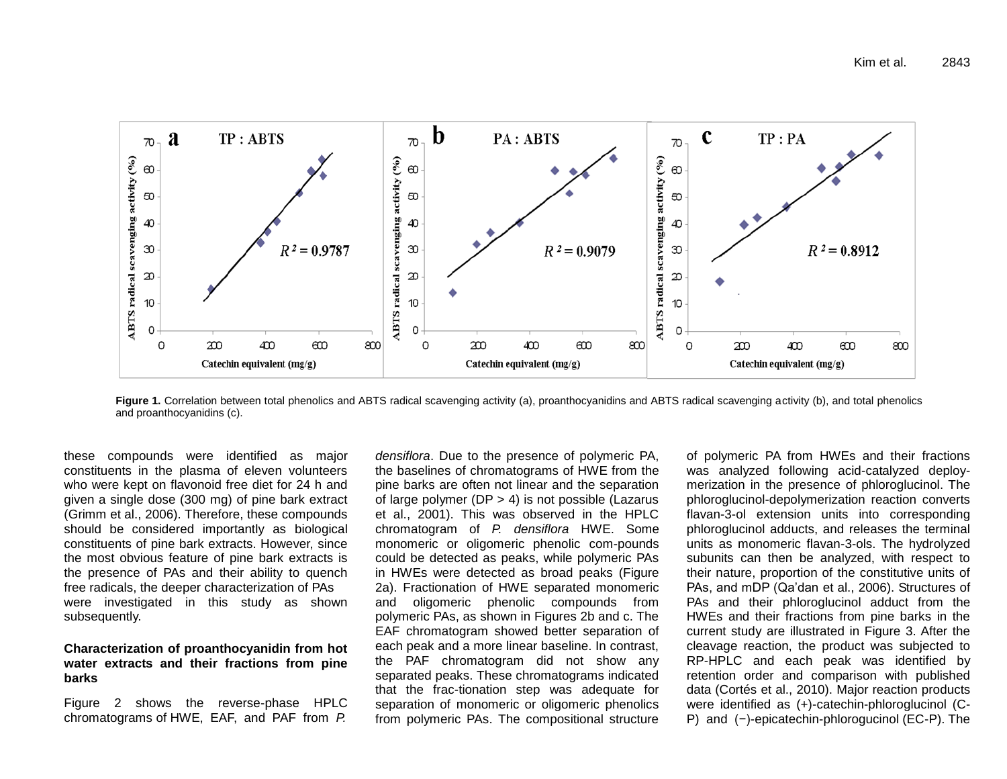

Figure 1. Correlation between total phenolics and ABTS radical scavenging activity (a), proanthocyanidins and ABTS radical scavenging activity (b), and total phenolics and proanthocyanidins (c).

these compounds were identified as major constituents in the plasma of eleven volunteers who were kept on flavonoid free diet for 24 h and given a single dose (300 mg) of pine bark extract (Grimm et al., 2006). Therefore, these compounds should be considered importantly as biological constituents of pine bark extracts. However, since the most obvious feature of pine bark extracts is the presence of PAs and their ability to quench free radicals, the deeper characterization of PAs were investigated in this study as shown subsequently.

## **Characterization of proanthocyanidin from hot water extracts and their fractions from pine barks**

Figure 2 shows the reverse-phase HPLC chromatograms of HWE, EAF, and PAF from *P.* 

*densiflora*. Due to the presence of polymeric PA, the baselines of chromatograms of HWE from the pine barks are often not linear and the separation of large polymer (DP > 4) is not possible (Lazarus et al., 2001). This was observed in the HPLC chromatogram of *P. densiflora* HWE. Some monomeric or oligomeric phenolic com-pounds could be detected as peaks, while polymeric PAs in HWEs were detected as broad peaks (Figure 2a). Fractionation of HWE separated monomeric and oligomeric phenolic compounds from polymeric PAs, as shown in Figures 2b and c. The EAF chromatogram showed better separation of each peak and a more linear baseline. In contrast, the PAF chromatogram did not show any separated peaks. These chromatograms indicated that the frac-tionation step was adequate for separation of monomeric or oligomeric phenolics from polymeric PAs. The compositional structure

of polymeric PA from HWEs and their fractions was analyzed following acid-catalyzed deploymerization in the presence of phloroglucinol. The phloroglucinol-depolymerization reaction converts flavan-3-ol extension units into corresponding phloroglucinol adducts, and releases the terminal units as monomeric flavan-3-ols. The hydrolyzed subunits can then be analyzed, with respect to their nature, proportion of the constitutive units of PAs, and mDP (Qa'dan et al., 2006). Structures of PAs and their phloroglucinol adduct from the HWEs and their fractions from pine barks in the current study are illustrated in Figure 3. After the cleavage reaction, the product was subjected to RP-HPLC and each peak was identified by retention order and comparison with published data (Cortés et al., 2010). Major reaction products were identified as (+)-catechin-phloroglucinol (C-P) and (−)-epicatechin-phlorogucinol (EC-P). The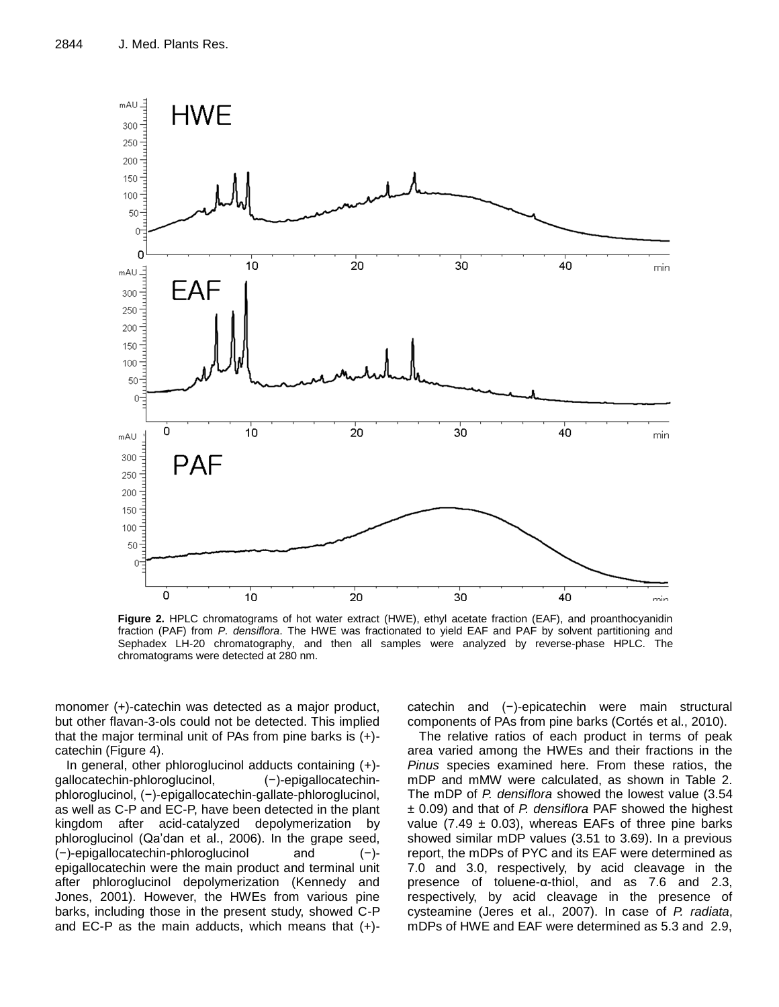

**Figure 2.** HPLC chromatograms of hot water extract (HWE), ethyl acetate fraction (EAF), and proanthocyanidin fraction (PAF) from *P. densiflora*. The HWE was fractionated to yield EAF and PAF by solvent partitioning and Sephadex LH-20 chromatography, and then all samples were analyzed by reverse-phase HPLC. The chromatograms were detected at 280 nm.

monomer (+)-catechin was detected as a major product, but other flavan-3-ols could not be detected. This implied that the major terminal unit of PAs from pine barks is (+) catechin (Figure 4).

In general, other phloroglucinol adducts containing (+) gallocatechin-phloroglucinol, (−)-epigallocatechinphloroglucinol, (−)-epigallocatechin-gallate-phloroglucinol, as well as C-P and EC-P, have been detected in the plant kingdom after acid-catalyzed depolymerization by phloroglucinol (Qa'dan et al., 2006). In the grape seed, (−)-epigallocatechin-phloroglucinol and (−) epigallocatechin were the main product and terminal unit after phloroglucinol depolymerization (Kennedy and Jones, 2001). However, the HWEs from various pine barks, including those in the present study, showed C-P and EC-P as the main adducts, which means that  $(+)$ - catechin and (−)-epicatechin were main structural components of PAs from pine barks (Cortés et al., 2010).

The relative ratios of each product in terms of peak area varied among the HWEs and their fractions in the *Pinus* species examined here. From these ratios, the mDP and mMW were calculated, as shown in Table 2. The mDP of *P. densiflora* showed the lowest value (3.54 ± 0.09) and that of *P. densiflora* PAF showed the highest value (7.49  $\pm$  0.03), whereas EAFs of three pine barks showed similar mDP values (3.51 to 3.69). In a previous report, the mDPs of PYC and its EAF were determined as 7.0 and 3.0, respectively, by acid cleavage in the presence of toluene-α-thiol, and as 7.6 and 2.3, respectively, by acid cleavage in the presence of cysteamine (Jeres et al., 2007). In case of *P. radiata*, mDPs of HWE and EAF were determined as 5.3 and 2.9,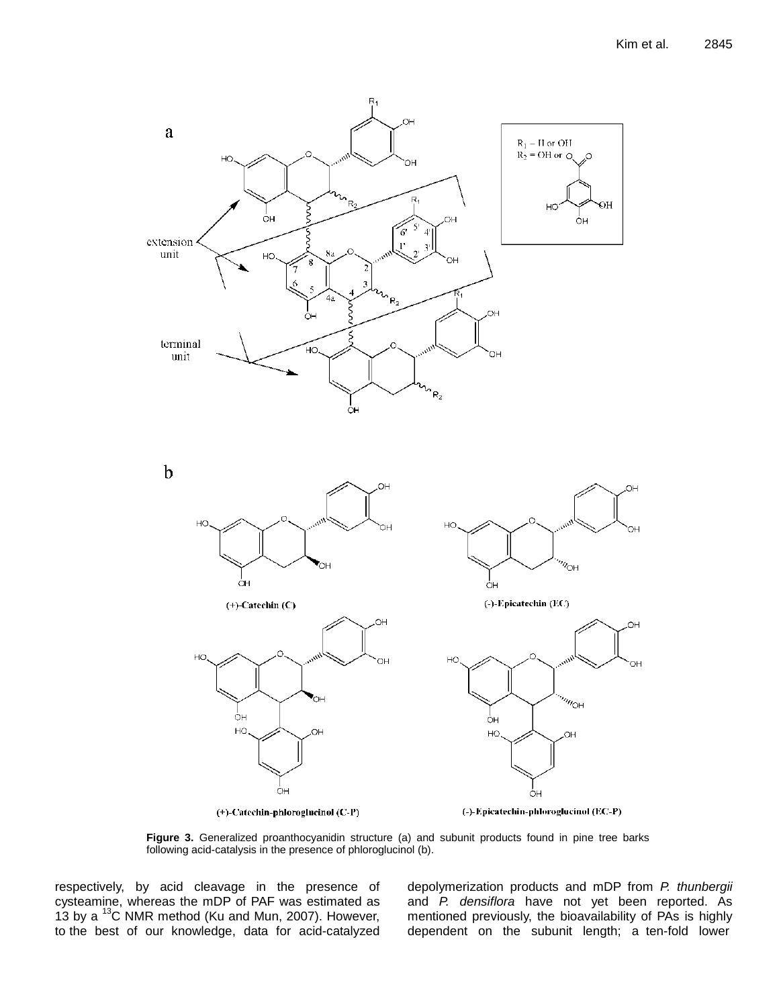

**Figure 3.** Generalized proanthocyanidin structure (a) and subunit products found in pine tree barks following acid-catalysis in the presence of phloroglucinol (b).

respectively, by acid cleavage in the presence of cysteamine, whereas the mDP of PAF was estimated as 13 by a  $^{13}$ C NMR method (Ku and Mun, 2007). However, to the best of our knowledge, data for acid-catalyzed depolymerization products and mDP from *P. thunbergii* and *P. densiflora* have not yet been reported. As mentioned previously, the bioavailability of PAs is highly dependent on the subunit length; a ten-fold lower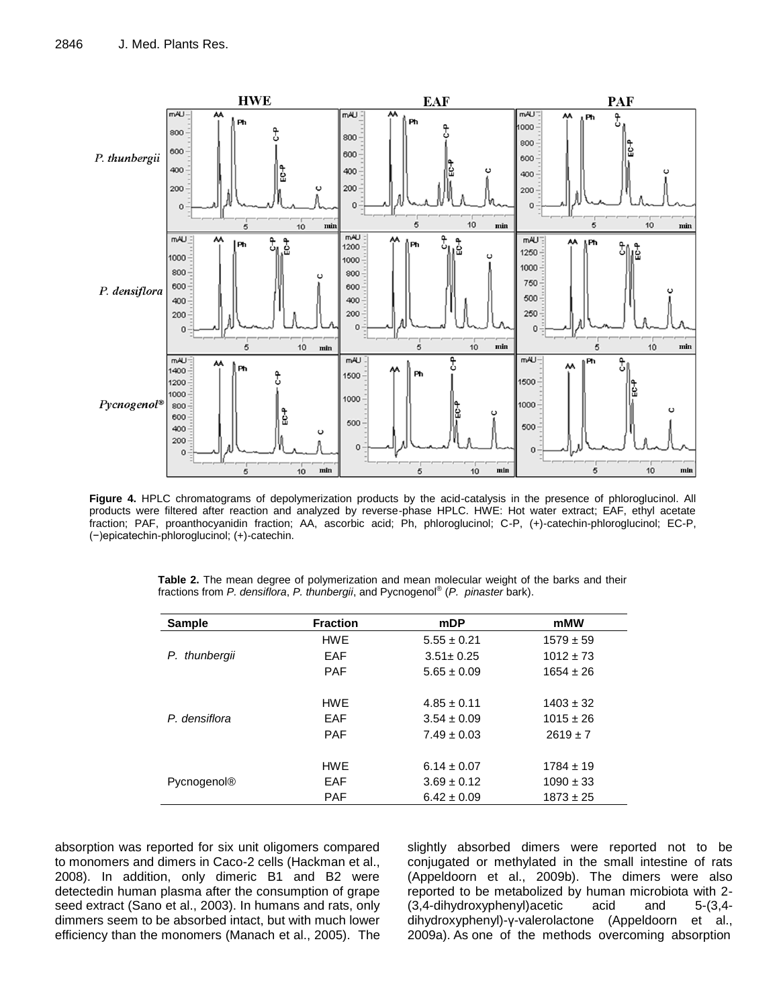

**Figure 4.** HPLC chromatograms of depolymerization products by the acid-catalysis in the presence of phloroglucinol. All products were filtered after reaction and analyzed by reverse-phase HPLC. HWE: Hot water extract; EAF, ethyl acetate fraction; PAF, proanthocyanidin fraction; AA, ascorbic acid; Ph, phloroglucinol; C-P, (+)-catechin-phloroglucinol; EC-P, (−)epicatechin-phloroglucinol; (+)-catechin.

|  |  | Table 2. The mean degree of polymerization and mean molecular weight of the barks and their |  |  |  |  |  |
|--|--|---------------------------------------------------------------------------------------------|--|--|--|--|--|
|  |  | fractions from P. densiflora, P. thunbergii, and Pycnogenol® (P. pinaster bark).            |  |  |  |  |  |

| <b>Sample</b>      | <b>Fraction</b> | mDP             | mMW           |
|--------------------|-----------------|-----------------|---------------|
|                    | <b>HWE</b>      | $5.55 \pm 0.21$ | $1579 \pm 59$ |
| P. thunbergii      | EAF             | $3.51 \pm 0.25$ | $1012 \pm 73$ |
|                    | <b>PAF</b>      | $5.65 \pm 0.09$ | $1654 \pm 26$ |
|                    |                 |                 |               |
|                    | <b>HWE</b>      | $4.85 \pm 0.11$ | $1403 \pm 32$ |
| P. densiflora      | EAF             | $3.54 \pm 0.09$ | $1015 \pm 26$ |
|                    | <b>PAF</b>      | $7.49 \pm 0.03$ | $2619 \pm 7$  |
|                    |                 |                 |               |
|                    | HWF             | $6.14 \pm 0.07$ | $1784 \pm 19$ |
| <b>Pycnogenol®</b> | EAF             | $3.69 \pm 0.12$ | $1090 \pm 33$ |
|                    | <b>PAF</b>      | $6.42 \pm 0.09$ | $1873 \pm 25$ |

absorption was reported for six unit oligomers compared to monomers and dimers in Caco-2 cells (Hackman et al., 2008). In addition, only dimeric B1 and B2 were detectedin human plasma after the consumption of grape seed extract (Sano et al., 2003). In humans and rats, only dimmers seem to be absorbed intact, but with much lower efficiency than the monomers (Manach et al., 2005). The slightly absorbed dimers were reported not to be conjugated or methylated in the small intestine of rats (Appeldoorn et al., 2009b). The dimers were also reported to be metabolized by human microbiota with 2- (3,4-dihydroxyphenyl)acetic acid and 5-(3,4 dihydroxyphenyl)-γ-valerolactone (Appeldoorn et al., 2009a). As one of the methods overcoming absorption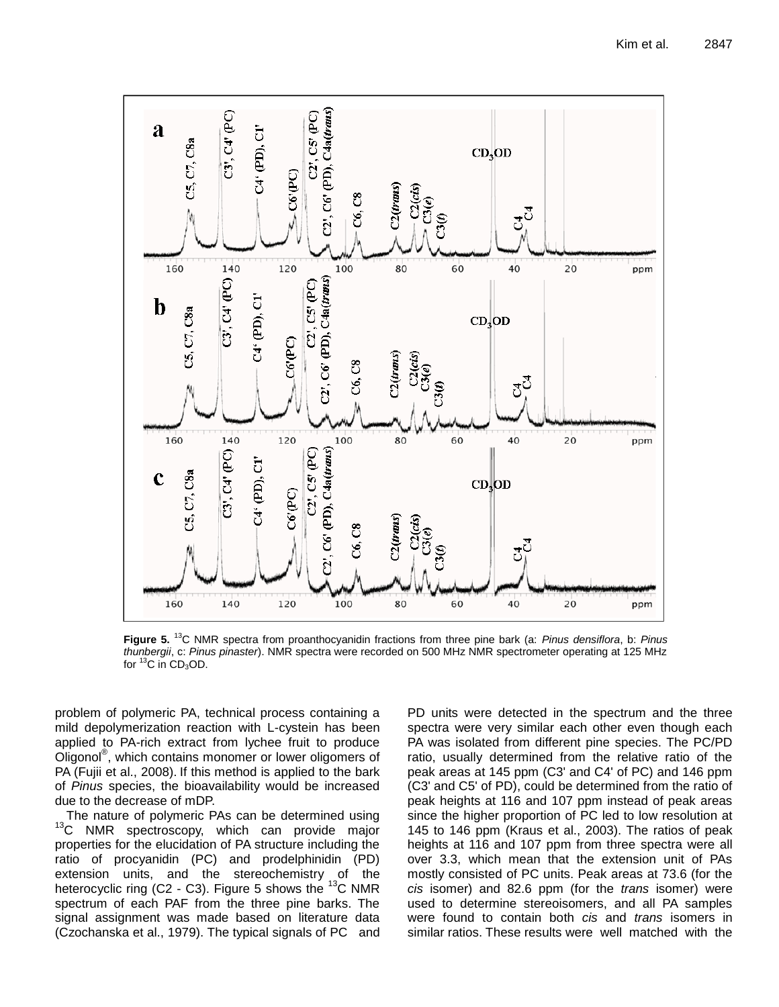

**Figure 5.** <sup>13</sup>C NMR spectra from proanthocyanidin fractions from three pine bark (a: *Pinus densiflora*, b: *Pinus thunbergii*, c: *Pinus pinaster*). NMR spectra were recorded on 500 MHz NMR spectrometer operating at 125 MHz for  ${}^{13}C$  in CD<sub>3</sub>OD.

problem of polymeric PA, technical process containing a mild depolymerization reaction with L-cystein has been applied to PA-rich extract from lychee fruit to produce Oligonol® , which contains monomer or lower oligomers of PA (Fujii et al., 2008). If this method is applied to the bark of *Pinus* species, the bioavailability would be increased due to the decrease of mDP.

The nature of polymeric PAs can be determined using <sup>13</sup>C NMR spectroscopy, which can provide major properties for the elucidation of PA structure including the ratio of procyanidin (PC) and prodelphinidin (PD) extension units, and the stereochemistry of the heterocyclic ring (C2 - C3). Figure 5 shows the  $^{13}$ C NMR spectrum of each PAF from the three pine barks. The signal assignment was made based on literature data (Czochanska et al., 1979). The typical signals of PC and PD units were detected in the spectrum and the three spectra were very similar each other even though each PA was isolated from different pine species. The PC/PD ratio, usually determined from the relative ratio of the peak areas at 145 ppm (C3' and C4' of PC) and 146 ppm (C3' and C5' of PD), could be determined from the ratio of peak heights at 116 and 107 ppm instead of peak areas since the higher proportion of PC led to low resolution at 145 to 146 ppm (Kraus et al., 2003). The ratios of peak heights at 116 and 107 ppm from three spectra were all over 3.3, which mean that the extension unit of PAs mostly consisted of PC units. Peak areas at 73.6 (for the *cis* isomer) and 82.6 ppm (for the *trans* isomer) were used to determine stereoisomers, and all PA samples were found to contain both *cis* and *trans* isomers in similar ratios. These results were well matched with the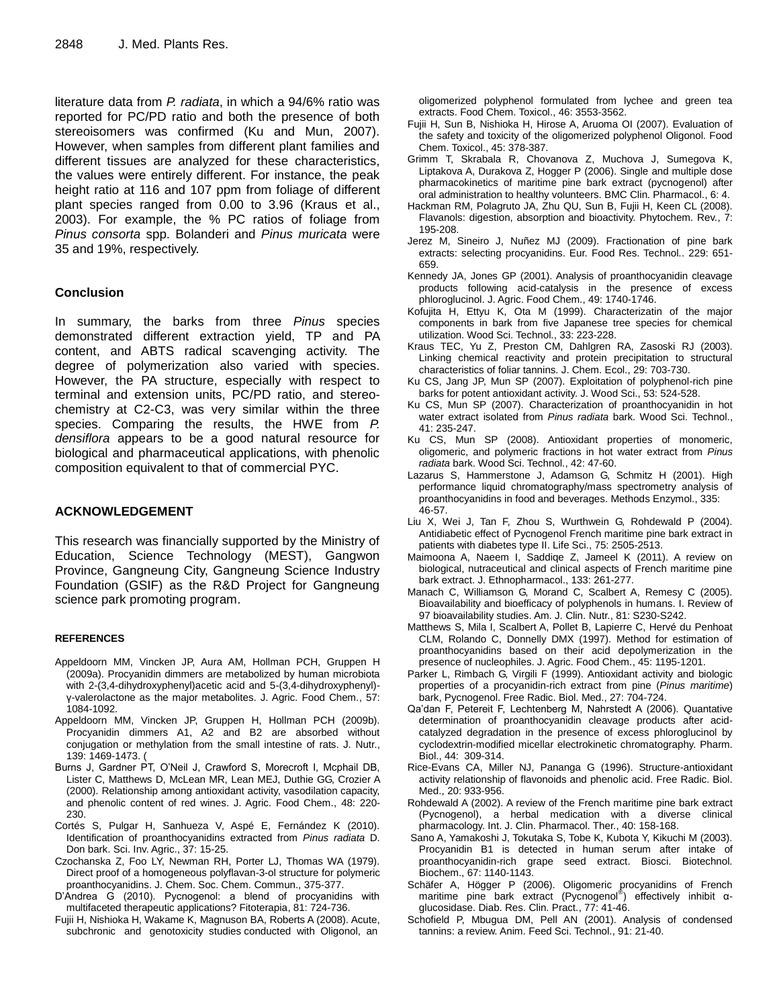literature data from *P. radiata*, in which a 94/6% ratio was reported for PC/PD ratio and both the presence of both stereoisomers was confirmed (Ku and Mun, 2007). However, when samples from different plant families and different tissues are analyzed for these characteristics, the values were entirely different. For instance, the peak height ratio at 116 and 107 ppm from foliage of different plant species ranged from 0.00 to 3.96 (Kraus et al., 2003). For example, the % PC ratios of foliage from *Pinus consorta* spp. Bolanderi and *Pinus muricata* were 35 and 19%, respectively.

# **Conclusion**

In summary, the barks from three *Pinus* species demonstrated different extraction yield, TP and PA content, and ABTS radical scavenging activity. The degree of polymerization also varied with species. However, the PA structure, especially with respect to terminal and extension units, PC/PD ratio, and stereochemistry at C2-C3, was very similar within the three species. Comparing the results, the HWE from *P. densiflora* appears to be a good natural resource for biological and pharmaceutical applications, with phenolic composition equivalent to that of commercial PYC.

# **ACKNOWLEDGEMENT**

This research was financially supported by the Ministry of Education, Science Technology (MEST), Gangwon Province, Gangneung City, Gangneung Science Industry Foundation (GSIF) as the R&D Project for Gangneung science park promoting program.

### **REFERENCES**

- Appeldoorn MM, Vincken JP, Aura AM, Hollman PCH, Gruppen H (2009a). Procyanidin dimmers are metabolized by human microbiota with 2-(3,4-dihydroxyphenyl)acetic acid and 5-(3,4-dihydroxyphenyl) γ-valerolactone as the major metabolites. J. Agric. Food Chem., 57: 1084-1092.
- Appeldoorn MM, Vincken JP, Gruppen H, Hollman PCH (2009b). Procyanidin dimmers A1, A2 and B2 are absorbed without conjugation or methylation from the small intestine of rats. J. Nutr., 139: 1469-1473. (
- Burns J, Gardner PT, O'Neil J, Crawford S, Morecroft I, Mcphail DB, Lister C, Matthews D, McLean MR, Lean MEJ, Duthie GG, Crozier A (2000). Relationship among antioxidant activity, vasodilation capacity, and phenolic content of red wines. J. Agric. Food Chem., 48: 220- 230.
- Cortés S, Pulgar H, Sanhueza V, Aspé E, Fernández K (2010). Identification of proanthocyanidins extracted from *Pinus radiata* D. Don bark. Sci. Inv. Agric., 37: 15-25.
- Czochanska Z, Foo LY, Newman RH, Porter LJ, Thomas WA (1979). Direct proof of a homogeneous polyflavan-3-ol structure for polymeric proanthocyanidins. J. Chem. Soc. Chem. Commun., 375-377.
- D'Andrea G (2010). Pycnogenol: a blend of procyanidins with multifaceted therapeutic applications? Fitoterapia, 81: 724-736.
- Fujii H, Nishioka H, Wakame K, Magnuson BA, Roberts A (2008). Acute, subchronic and genotoxicity studies conducted with Oligonol, an

oligomerized polyphenol formulated from lychee and green tea extracts. Food Chem. Toxicol., 46: 3553-3562.

- Fujii H, Sun B, Nishioka H, Hirose A, Aruoma OI (2007). Evaluation of the safety and toxicity of the oligomerized polyphenol Oligonol. Food Chem. Toxicol., 45: 378-387.
- Grimm T, Skrabala R, Chovanova Z, Muchova J, Sumegova K, Liptakova A, Durakova Z, Hogger P (2006). Single and multiple dose pharmacokinetics of maritime pine bark extract (pycnogenol) after oral administration to healthy volunteers. BMC Clin. Pharmacol., 6: 4.
- Hackman RM, Polagruto JA, Zhu QU, Sun B, Fujii H, Keen CL (2008). Flavanols: digestion, absorption and bioactivity. Phytochem. Rev., 7: 195-208.
- Jerez M, Sineiro J, Nuñez MJ (2009). Fractionation of pine bark extracts: selecting procyanidins. Eur. Food Res. Technol.. 229: 651- 659.
- Kennedy JA, Jones GP (2001). Analysis of proanthocyanidin cleavage products following acid-catalysis in the presence of excess phloroglucinol. J. Agric. Food Chem., 49: 1740-1746.
- Kofujita H, Ettyu K, Ota M (1999). Characterizatin of the major components in bark from five Japanese tree species for chemical utilization. Wood Sci. Technol., 33: 223-228.
- Kraus TEC, Yu Z, Preston CM, Dahlgren RA, Zasoski RJ (2003). Linking chemical reactivity and protein precipitation to structural characteristics of foliar tannins. J. Chem. Ecol., 29: 703-730.
- Ku CS, Jang JP, Mun SP (2007). Exploitation of polyphenol-rich pine barks for potent antioxidant activity. J. Wood Sci., 53: 524-528.
- Ku CS, Mun SP (2007). Characterization of proanthocyanidin in hot water extract isolated from *Pinus radiata* bark. Wood Sci. Technol., 41: 235-247.
- Ku CS, Mun SP (2008). Antioxidant properties of monomeric, oligomeric, and polymeric fractions in hot water extract from *Pinus radiata* bark. Wood Sci. Technol., 42: 47-60.
- Lazarus S, Hammerstone J, Adamson G, Schmitz H (2001). High performance liquid chromatography/mass spectrometry analysis of proanthocyanidins in food and beverages. Methods Enzymol., 335: 46-57.
- Liu X, Wei J, Tan F, Zhou S, Wurthwein G, Rohdewald P (2004). Antidiabetic effect of Pycnogenol French maritime pine bark extract in patients with diabetes type II. Life Sci., 75: 2505-2513.
- Maimoona A, Naeem I, Saddiqe Z, Jameel K (2011). A review on biological, nutraceutical and clinical aspects of French maritime pine bark extract. J. Ethnopharmacol., 133: 261-277.
- Manach C, Williamson G, Morand C, Scalbert A, Remesy C (2005). Bioavailability and bioefficacy of polyphenols in humans. I. Review of 97 bioavailability studies. Am. J. Clin. Nutr., 81: S230-S242.
- Matthews S, Mila I, Scalbert A, Pollet B, Lapierre C, Hervé du Penhoat CLM, Rolando C, Donnelly DMX (1997). Method for estimation of proanthocyanidins based on their acid depolymerization in the presence of nucleophiles. J. Agric. Food Chem., 45: 1195-1201.
- Parker L, Rimbach G, Virgili F (1999). Antioxidant activity and biologic properties of a procyanidin-rich extract from pine (*Pinus maritime*) bark, Pycnogenol. Free Radic. Biol. Med., 27: 704-724.
- Qa'dan F, Petereit F, Lechtenberg M, Nahrstedt A (2006). Quantative determination of proanthocyanidin cleavage products after acidcatalyzed degradation in the presence of excess phloroglucinol by cyclodextrin-modified micellar electrokinetic chromatography. Pharm. Biol., 44: 309-314.
- Rice-Evans CA, Miller NJ, Pananga G (1996). Structure-antioxidant activity relationship of flavonoids and phenolic acid. Free Radic. Biol. Med., 20: 933-956.
- Rohdewald A (2002). A review of the French maritime pine bark extract (Pycnogenol), a herbal medication with a diverse clinical pharmacology. Int. J. Clin. Pharmacol. Ther., 40: 158-168.
- Sano A, Yamakoshi J, Tokutaka S, Tobe K, Kubota Y, Kikuchi M (2003). Procyanidin B1 is detected in human serum after intake of proanthocyanidin-rich grape seed extract. Biosci. Biotechnol. Biochem., 67: 1140-1143.
- Schäfer A, Högger P (2006). Oligomeric procyanidins of French maritime pine bark extract (Pycnogenol®) effectively inhibit αglucosidase. Diab. Res. Clin. Pract., 77: 41-46.
- Schofield P, Mbugua DM, Pell AN (2001). Analysis of condensed tannins: a review. Anim. Feed Sci. Technol., 91: 21-40.